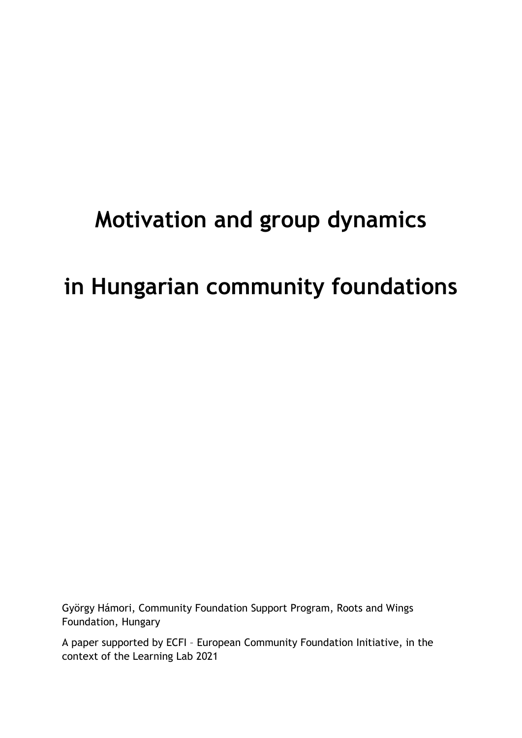# Motivation and group dynamics

## in Hungarian community foundations

György Hámori, Community Foundation Support Program, Roots and Wings Foundation, Hungary

A paper supported by ECFI – European Community Foundation Initiative, in the context of the Learning Lab 2021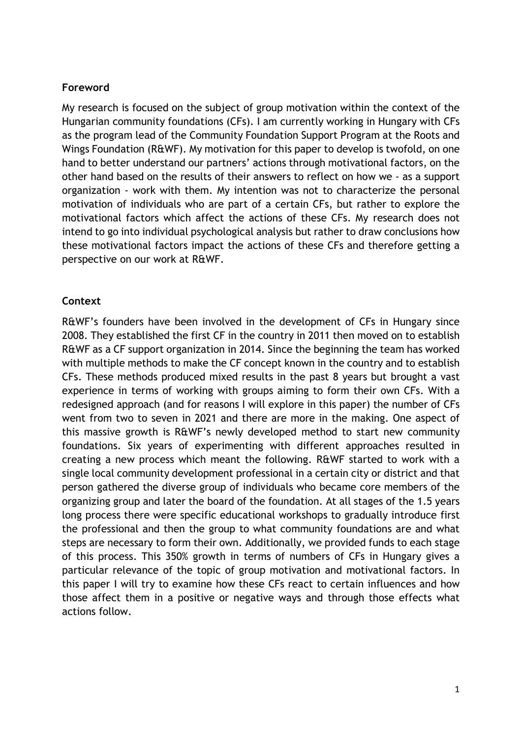#### Foreword

My research is focused on the subject of group motivation within the context of the Hungarian community foundations (CFs). I am currently working in Hungary with CFs as the program lead of the Community Foundation Support Program at the Roots and Wings Foundation (R&WF). My motivation for this paper to develop is twofold, on one hand to better understand our partners' actions through motivational factors, on the other hand based on the results of their answers to reflect on how we - as a support organization - work with them. My intention was not to characterize the personal motivation of individuals who are part of a certain CFs, but rather to explore the motivational factors which affect the actions of these CFs. My research does not intend to go into individual psychological analysis but rather to draw conclusions how these motivational factors impact the actions of these CFs and therefore getting a perspective on our work at R&WF.

## Context

R&WF's founders have been involved in the development of CFs in Hungary since 2008. They established the first CF in the country in 2011 then moved on to establish R&WF as a CF support organization in 2014. Since the beginning the team has worked with multiple methods to make the CF concept known in the country and to establish CFs. These methods produced mixed results in the past 8 years but brought a vast experience in terms of working with groups aiming to form their own CFs. With a redesigned approach (and for reasons I will explore in this paper) the number of CFs went from two to seven in 2021 and there are more in the making. One aspect of this massive growth is R&WF's newly developed method to start new community foundations. Six years of experimenting with different approaches resulted in creating a new process which meant the following. R&WF started to work with a single local community development professional in a certain city or district and that person gathered the diverse group of individuals who became core members of the organizing group and later the board of the foundation. At all stages of the 1.5 years long process there were specific educational workshops to gradually introduce first the professional and then the group to what community foundations are and what steps are necessary to form their own. Additionally, we provided funds to each stage of this process. This 350% growth in terms of numbers of CFs in Hungary gives a particular relevance of the topic of group motivation and motivational factors. In this paper I will try to examine how these CFs react to certain influences and how those affect them in a positive or negative ways and through those effects what actions follow.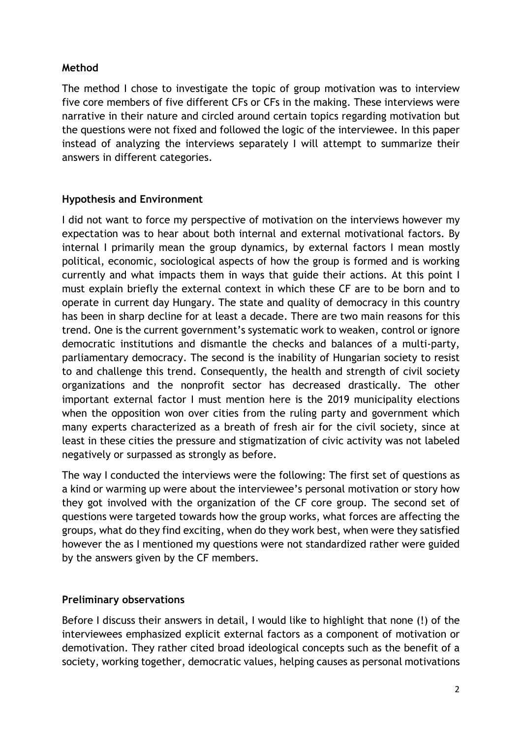## Method

The method I chose to investigate the topic of group motivation was to interview five core members of five different CFs or CFs in the making. These interviews were narrative in their nature and circled around certain topics regarding motivation but the questions were not fixed and followed the logic of the interviewee. In this paper instead of analyzing the interviews separately I will attempt to summarize their answers in different categories.

## Hypothesis and Environment

I did not want to force my perspective of motivation on the interviews however my expectation was to hear about both internal and external motivational factors. By internal I primarily mean the group dynamics, by external factors I mean mostly political, economic, sociological aspects of how the group is formed and is working currently and what impacts them in ways that guide their actions. At this point I must explain briefly the external context in which these CF are to be born and to operate in current day Hungary. The state and quality of democracy in this country has been in sharp decline for at least a decade. There are two main reasons for this trend. One is the current government's systematic work to weaken, control or ignore democratic institutions and dismantle the checks and balances of a multi-party, parliamentary democracy. The second is the inability of Hungarian society to resist to and challenge this trend. Consequently, the health and strength of civil society organizations and the nonprofit sector has decreased drastically. The other important external factor I must mention here is the 2019 municipality elections when the opposition won over cities from the ruling party and government which many experts characterized as a breath of fresh air for the civil society, since at least in these cities the pressure and stigmatization of civic activity was not labeled negatively or surpassed as strongly as before.

The way I conducted the interviews were the following: The first set of questions as a kind or warming up were about the interviewee's personal motivation or story how they got involved with the organization of the CF core group. The second set of questions were targeted towards how the group works, what forces are affecting the groups, what do they find exciting, when do they work best, when were they satisfied however the as I mentioned my questions were not standardized rather were guided by the answers given by the CF members.

## Preliminary observations

Before I discuss their answers in detail, I would like to highlight that none (!) of the interviewees emphasized explicit external factors as a component of motivation or demotivation. They rather cited broad ideological concepts such as the benefit of a society, working together, democratic values, helping causes as personal motivations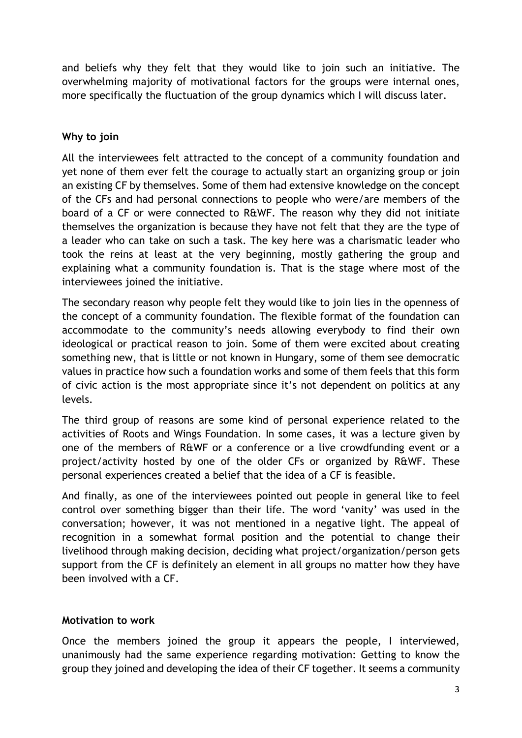and beliefs why they felt that they would like to join such an initiative. The overwhelming majority of motivational factors for the groups were internal ones, more specifically the fluctuation of the group dynamics which I will discuss later.

## Why to join

All the interviewees felt attracted to the concept of a community foundation and yet none of them ever felt the courage to actually start an organizing group or join an existing CF by themselves. Some of them had extensive knowledge on the concept of the CFs and had personal connections to people who were/are members of the board of a CF or were connected to R&WF. The reason why they did not initiate themselves the organization is because they have not felt that they are the type of a leader who can take on such a task. The key here was a charismatic leader who took the reins at least at the very beginning, mostly gathering the group and explaining what a community foundation is. That is the stage where most of the interviewees joined the initiative.

The secondary reason why people felt they would like to join lies in the openness of the concept of a community foundation. The flexible format of the foundation can accommodate to the community's needs allowing everybody to find their own ideological or practical reason to join. Some of them were excited about creating something new, that is little or not known in Hungary, some of them see democratic values in practice how such a foundation works and some of them feels that this form of civic action is the most appropriate since it's not dependent on politics at any levels.

The third group of reasons are some kind of personal experience related to the activities of Roots and Wings Foundation. In some cases, it was a lecture given by one of the members of R&WF or a conference or a live crowdfunding event or a project/activity hosted by one of the older CFs or organized by R&WF. These personal experiences created a belief that the idea of a CF is feasible.

And finally, as one of the interviewees pointed out people in general like to feel control over something bigger than their life. The word 'vanity' was used in the conversation; however, it was not mentioned in a negative light. The appeal of recognition in a somewhat formal position and the potential to change their livelihood through making decision, deciding what project/organization/person gets support from the CF is definitely an element in all groups no matter how they have been involved with a CF.

## Motivation to work

Once the members joined the group it appears the people, I interviewed, unanimously had the same experience regarding motivation: Getting to know the group they joined and developing the idea of their CF together. It seems a community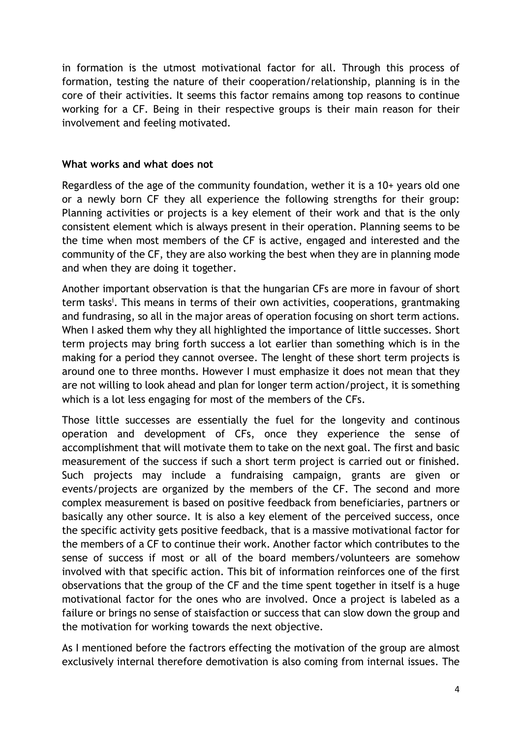in formation is the utmost motivational factor for all. Through this process of formation, testing the nature of their cooperation/relationship, planning is in the core of their activities. It seems this factor remains among top reasons to continue working for a CF. Being in their respective groups is their main reason for their involvement and feeling motivated.

#### What works and what does not

Regardless of the age of the community foundation, wether it is a 10+ years old one or a newly born CF they all experience the following strengths for their group: Planning activities or projects is a key element of their work and that is the only consistent element which is always present in their operation. Planning seems to be the time when most members of the CF is active, engaged and interested and the community of the CF, they are also working the best when they are in planning mode and when they are doing it together.

Another important observation is that the hungarian CFs are more in favour of short term tasks<sup>i</sup>. This means in terms of their own activities, cooperations, grantmaking and fundrasing, so all in the major areas of operation focusing on short term actions. When I asked them why they all highlighted the importance of little successes. Short term projects may bring forth success a lot earlier than something which is in the making for a period they cannot oversee. The lenght of these short term projects is around one to three months. However I must emphasize it does not mean that they are not willing to look ahead and plan for longer term action/project, it is something which is a lot less engaging for most of the members of the CFs.

Those little successes are essentially the fuel for the longevity and continous operation and development of CFs, once they experience the sense of accomplishment that will motivate them to take on the next goal. The first and basic measurement of the success if such a short term project is carried out or finished. Such projects may include a fundraising campaign, grants are given or events/projects are organized by the members of the CF. The second and more complex measurement is based on positive feedback from beneficiaries, partners or basically any other source. It is also a key element of the perceived success, once the specific activity gets positive feedback, that is a massive motivational factor for the members of a CF to continue their work. Another factor which contributes to the sense of success if most or all of the board members/volunteers are somehow involved with that specific action. This bit of information reinforces one of the first observations that the group of the CF and the time spent together in itself is a huge motivational factor for the ones who are involved. Once a project is labeled as a failure or brings no sense of staisfaction or success that can slow down the group and the motivation for working towards the next objective.

As I mentioned before the factrors effecting the motivation of the group are almost exclusively internal therefore demotivation is also coming from internal issues. The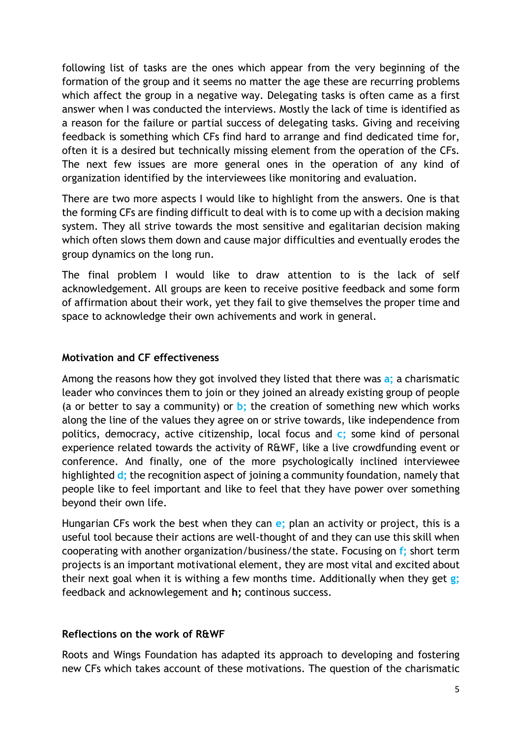following list of tasks are the ones which appear from the very beginning of the formation of the group and it seems no matter the age these are recurring problems which affect the group in a negative way. Delegating tasks is often came as a first answer when I was conducted the interviews. Mostly the lack of time is identified as a reason for the failure or partial success of delegating tasks. Giving and receiving feedback is something which CFs find hard to arrange and find dedicated time for, often it is a desired but technically missing element from the operation of the CFs. The next few issues are more general ones in the operation of any kind of organization identified by the interviewees like monitoring and evaluation.

There are two more aspects I would like to highlight from the answers. One is that the forming CFs are finding difficult to deal with is to come up with a decision making system. They all strive towards the most sensitive and egalitarian decision making which often slows them down and cause major difficulties and eventually erodes the group dynamics on the long run.

The final problem I would like to draw attention to is the lack of self acknowledgement. All groups are keen to receive positive feedback and some form of affirmation about their work, yet they fail to give themselves the proper time and space to acknowledge their own achivements and work in general.

## Motivation and CF effectiveness

Among the reasons how they got involved they listed that there was a; a charismatic leader who convinces them to join or they joined an already existing group of people (a or better to say a community) or  $\mathbf{b}$ ; the creation of something new which works along the line of the values they agree on or strive towards, like independence from politics, democracy, active citizenship, local focus and  $c$ ; some kind of personal experience related towards the activity of R&WF, like a live crowdfunding event or conference. And finally, one of the more psychologically inclined interviewee highlighted **d**; the recognition aspect of joining a community foundation, namely that people like to feel important and like to feel that they have power over something beyond their own life.

Hungarian CFs work the best when they can e; plan an activity or project, this is a useful tool because their actions are well-thought of and they can use this skill when cooperating with another organization/business/the state. Focusing on f; short term projects is an important motivational element, they are most vital and excited about their next goal when it is withing a few months time. Additionally when they get  $g$ ; feedback and acknowlegement and h; continous success.

## Reflections on the work of R&WF

Roots and Wings Foundation has adapted its approach to developing and fostering new CFs which takes account of these motivations. The question of the charismatic